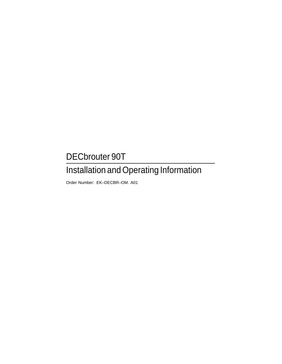# DECbrouter 90T

# Installation and Operating Information

Order Number: EK–DECBR–OM. A01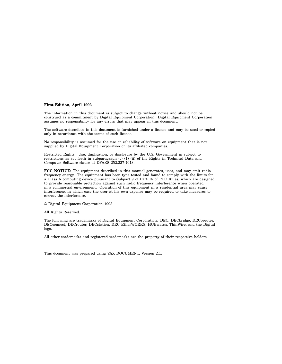#### **First Edition, April 1993**

The information in this document is subject to change without notice and should not be construed as a commitment by Digital Equipment Corporation. Digital Equipment Corporation assumes no responsibility for any errors that may appear in this document.

The software described in this document is furnished under a license and may be used or copied only in accordance with the terms of such license.

No responsibility is assumed for the use or reliability of software on equipment that is not supplied by Digital Equipment Corporation or its affiliated companies.

Restricted Rights: Use, duplication, or disclosure by the U.S. Government is subject to restrictions as set forth in subparagraph (c) (1) (ii) of the Rights in Technical Data and Computer Software clause at DFARS 252.227-7013.

**FCC NOTICE:** The equipment described in this manual generates, uses, and may emit radio frequency energy. The equipment has been type tested and found to comply with the limits for a Class A computing device pursuant to Subpart J of Part 15 of FCC Rules, which are designed to provide reasonable protection against such radio frequency interference when operated in a commercial environment. Operation of this equipment in a residential area may cause interference, in which case the user at his own expense may be required to take measures to correct the interference.

© Digital Equipment Corporation 1993.

All Rights Reserved.

The following are trademarks of Digital Equipment Corporation: DEC, DECbridge, DECbrouter, DECconnect, DECrouter, DECstation, DEC EtherWORKS, HUBwatch, ThinWire, and the Digital logo.

All other trademarks and registered trademarks are the property of their respective holders.

This document was prepared using VAX DOCUMENT, Version 2.1.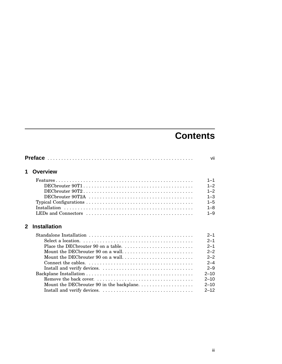# **Contents**

|              |                                   | vii      |
|--------------|-----------------------------------|----------|
| 1            | <b>Overview</b>                   |          |
|              |                                   | $1 - 1$  |
|              |                                   | $1 - 2$  |
|              |                                   | $1 - 2$  |
|              |                                   | $1 - 3$  |
|              |                                   | $1 - 5$  |
|              |                                   | $1 - 8$  |
|              |                                   | $1 - 9$  |
| $\mathbf{2}$ | <b>Installation</b>               |          |
|              |                                   | $2 - 1$  |
|              |                                   | $2 - 1$  |
|              |                                   | $2 - 1$  |
|              | Mount the DECbrouter 90 on a wall | $2 - 2$  |
|              | Mount the DECbrouter 90 on a wall | $2 - 2$  |
|              |                                   | $2 - 4$  |
|              |                                   | $2 - 9$  |
|              |                                   | $2 - 10$ |
|              |                                   | $2 - 10$ |
|              |                                   | $2 - 10$ |
|              |                                   | $2 - 12$ |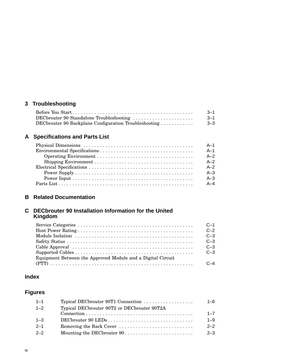# **3 Troubleshooting**

|                                                       | $3 - 1$ |
|-------------------------------------------------------|---------|
|                                                       | $3 - 1$ |
| DECbrouter 90 Backplane Configuration Troubleshooting | $3 - 3$ |

# **A Specifications and Parts List**

| $A-1$   |
|---------|
| $A-1$   |
| $A-2$   |
| $A-2$   |
| $A-2$   |
| $A-3$   |
| $A-3$   |
| $A - 4$ |

# **B Related Documentation**

#### **C DECbrouter 90 Installation Information for the United Kingdom**

|                                                             | $C-1$   |
|-------------------------------------------------------------|---------|
|                                                             | $C - 2$ |
|                                                             | $C-3$   |
|                                                             | $C-3$   |
|                                                             | $C-3$   |
|                                                             | $C-3$   |
| Equipment Between the Approved Module and a Digital Circuit |         |
|                                                             |         |

# **Index**

# **Figures**

| $1 - 1$ | Typical DECbrouter 90T1 Connection          | $1 - 6$ |
|---------|---------------------------------------------|---------|
| $1 - 2$ | Typical DECbrouter 90T2 or DECbrouter 90T2A |         |
|         |                                             | $1 - 7$ |
| $1 - 3$ |                                             | $1 - 9$ |
| $2 - 1$ |                                             | $2 - 2$ |
| $2 - 2$ |                                             | $2 - 3$ |
|         |                                             |         |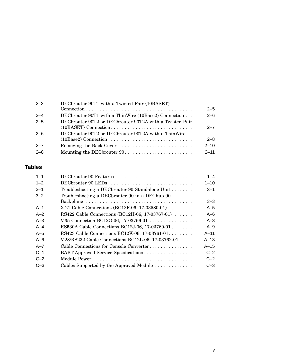| $2 - 3$ | DECbrouter 90T1 with a Twisted Pair (10BASET)           |          |
|---------|---------------------------------------------------------|----------|
|         |                                                         | $2 - 5$  |
| $2 - 4$ | DECbrouter 90T1 with a ThinWire (10Base2) Connection    | $2 - 6$  |
| $2 - 5$ | DECbrouter 90T2 or DECbrouter 90T2A with a Twisted Pair |          |
|         | (10BASET) Connection                                    | $2 - 7$  |
| $2 - 6$ | DEC brouter 90T2 or DEC brouter 90T2A with a Thin Wire  |          |
|         |                                                         | $2 - 8$  |
| $2 - 7$ | Removing the Back Cover                                 | $2 - 10$ |
| $2 - 8$ | Mounting the DECbrouter 90                              | $2 - 11$ |
|         |                                                         |          |

# **Tables**

| $1 - 1$ | DECbrouter 90 Features                                         | $1 - 4$  |
|---------|----------------------------------------------------------------|----------|
| $1 - 2$ |                                                                | $1 - 10$ |
| $3 - 1$ | Troubleshooting a DECbrouter 90 Standalone Unit                | $3 - 1$  |
| $3 - 2$ | Troubleshooting a DEC brouter 90 in a DEC hub 90               |          |
|         |                                                                | $3 - 3$  |
| $A-1$   | X.21 Cable Connections (BC12F-06, 17-03580-01) $\ldots \ldots$ | $A-5$    |
| $A-2$   | RS422 Cable Connections (BC12H-06, 17-03767-01)                | $A-6$    |
| $A-3$   | V.35 Connection BC12G-06, 17-03766-01                          | $A - 8$  |
| $A - 4$ | RS530A Cable Connections BC12J-06, 17-03760-01                 | $A-9$    |
| $A-5$   | RS423 Cable Connections BC12K-06, 17-03761-01                  | $A-11$   |
| $A - 6$ | V.28/RS232 Cable Connections BC12L-06, 17-03762-01             | $A-13$   |
| $A - 7$ | Cable Connections for Console Converter                        | $A-15$   |
| $C-1$   | BABT-Approved Service Specifications                           | $C-2$    |
| $C-2$   |                                                                | $C-2$    |
| $C-3$   | Cables Supported by the Approved Module                        | $C-3$    |
|         |                                                                |          |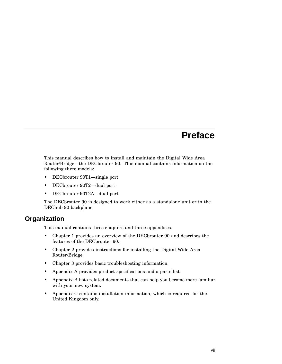# **Preface**

This manual describes how to install and maintain the Digital Wide Area Router/Bridge—the DECbrouter 90. This manual contains information on the following three models:

- DECbrouter 90T1—single port
- DECbrouter 90T2—dual port
- DECbrouter 90T2A—dual port

The DECbrouter 90 is designed to work either as a standalone unit or in the DEChub 90 backplane.

# **Organization**

This manual contains three chapters and three appendices.

- Chapter 1 provides an overview of the DECbrouter 90 and describes the features of the DECbrouter 90.
- Chapter 2 provides instructions for installing the Digital Wide Area Router/Bridge.
- Chapter 3 provides basic troubleshooting information.
- Appendix A provides product specifications and a parts list.
- Appendix B lists related documents that can help you become more familiar with your new system.
- Appendix C contains installation information, which is required for the United Kingdom only.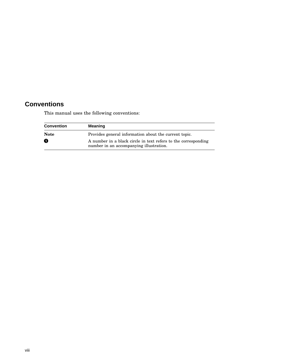# **Conventions**

This manual uses the following conventions:

| <b>Convention</b> | Meaning                                                                                                   |
|-------------------|-----------------------------------------------------------------------------------------------------------|
| <b>Note</b>       | Provides general information about the current topic.                                                     |
| O                 | A number in a black circle in text refers to the corresponding<br>number in an accompanying illustration. |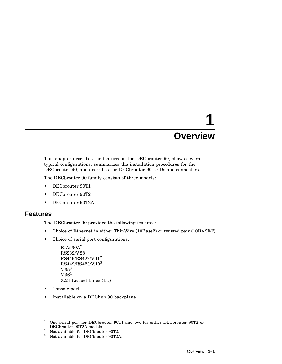# **1 Overview**

This chapter describes the features of the DECbrouter 90, shows several typical configurations, summarizes the installation procedures for the DECbrouter 90, and describes the DECbrouter 90 LEDs and connectors.

The DECbrouter 90 family consists of three models:

- DECbrouter 90T1
- DECbrouter 90T2
- DECbrouter 90T2A

#### **Features**

The DECbrouter 90 provides the following features:

- Choice of Ethernet in either ThinWire (10Base2) or twisted pair (10BASET)
- Choice of serial port configurations: $<sup>1</sup>$ </sup>

```
EIA530A<sup>2</sup>RS232/V.28
\mathrm{RS}449\!/\mathrm{RS}422\!/\mathrm{V}.11^2RS449/RS423/V.102
V.35<sup>3</sup>V.36<sup>2</sup>X.21 Leased Lines (LL)
```
- Console port
- Installable on a DEChub 90 backplane

<sup>&</sup>lt;sup>1</sup> One serial port for DECbrouter 90T1 and two for either DECbrouter 90T2 or DECbrouter 90T2A models.

<sup>&</sup>lt;sup>2</sup> Not available for DECbrouter 90T2.<br><sup>3</sup> Net available for DECbrouter 90T34

<sup>3</sup> Not available for DECbrouter 90T2A.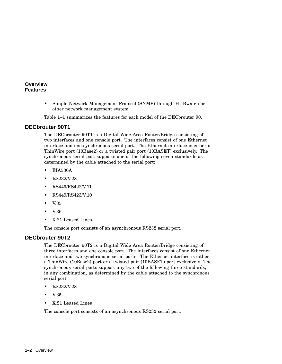#### **Overview Features**

• Simple Network Management Protocol (SNMP) through HUBwatch or other network management system

Table 1–1 summarizes the features for each model of the DECbrouter 90.

#### **DECbrouter 90T1**

The DECbrouter 90T1 is a Digital Wide Area Router/Bridge consisting of two interfaces and one console port. The interfaces consist of one Ethernet interface and one synchronous serial port. The Ethernet interface is either a ThinWire port (10Base2) or a twisted pair port (10BASET) exclusively. The synchronous serial port supports one of the following seven standards as determined by the cable attached to the serial port:

- EIA530A
- RS232/V.28
- RS449/RS422/V.11
- RS449/RS423/V.10
- V.35
- V.36
- X.21 Leased Lines

The console port consists of an asynchronous RS232 serial port.

#### **DECbrouter 90T2**

The DECbrouter 90T2 is a Digital Wide Area Router/Bridge consisting of three interfaces and one console port. The interfaces consist of one Ethernet interface and two synchronous serial ports. The Ethernet interface is either a ThinWire (10Base2) port or a twisted pair (10BASET) port exclusively. The synchronous serial ports support any two of the following three standards, in any combination, as determined by the cable attached to the synchronous serial port:

- RS232/V.28
- V.35
- X.21 Leased Lines

The console port consists of an asynchronous RS232 serial port.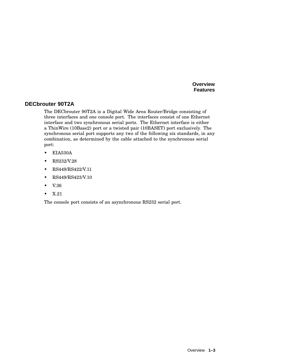**Overview Features**

#### **DECbrouter 90T2A**

The DECbrouter 90T2A is a Digital Wide Area Router/Bridge consisting of three interfaces and one console port. The interfaces consist of one Ethernet interface and two synchronous serial ports. The Ethernet interface is either a ThinWire (10Base2) port or a twisted pair (10BASET) port exclusively. The synchronous serial port supports any two of the following six standards, in any combination, as determined by the cable attached to the synchronous serial port:

- EIA530A
- RS232/V.28
- RS449/RS422/V.11
- RS449/RS423/V.10
- V.36
- X.21

The console port consists of an asynchronous RS232 serial port.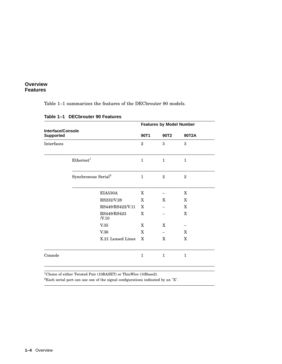#### **Overview Features**

Table 1–1 summarizes the features of the DECbrouter 90 models.

|                                       |                                 |                | <b>Features by Model Number</b> |                |
|---------------------------------------|---------------------------------|----------------|---------------------------------|----------------|
| Interface/Console<br><b>Supported</b> |                                 | 90T1           | 90T <sub>2</sub>                | 90T2A          |
| Interfaces                            |                                 | $\overline{2}$ | 3                               | 3              |
|                                       | Ethernet <sup>1</sup>           | $\mathbf{1}$   | $\mathbf{1}$                    | $\mathbf{1}$   |
|                                       | Synchronous Serial <sup>2</sup> | $\mathbf{1}$   | $\overline{2}$                  | $\overline{2}$ |
|                                       | EIA530A                         | X              |                                 | $\mathbf X$    |
|                                       | RS232/V.28                      | X              | X                               | X              |
|                                       | RS449/RS422/V.11                | X              |                                 | X              |
|                                       | RS449/RS423<br>N.10             | X              |                                 | $\mathbf{x}$   |
|                                       | V.35                            | X              | X                               |                |
|                                       | V.36                            | X              |                                 | X              |
|                                       | X.21 Leased Lines               | X              | X                               | X              |
| Console                               |                                 | $\mathbf{1}$   | $\mathbf{1}$                    | $\mathbf{1}$   |

#### **Table 1–1 DECbrouter 90 Features**

<sup>1</sup>Choice of either Twisted Pair (10BASET) or ThinWire (10Base2).

<sup>2</sup>Each serial port can use one of the signal configurations indicated by an "X".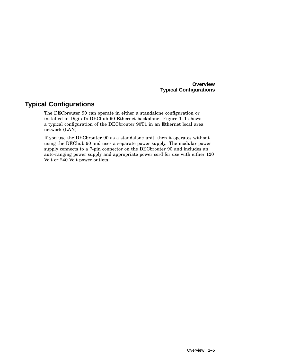#### **Overview Typical Configurations**

# **Typical Configurations**

The DECbrouter 90 can operate in either a standalone configuration or installed in Digital's DEChub 90 Ethernet backplane. Figure 1–1 shows a typical configuration of the DECbrouter 90T1 in an Ethernet local area network (LAN).

If you use the DECbrouter 90 as a standalone unit, then it operates without using the DEChub 90 and uses a separate power supply. The modular power supply connects to a 7-pin connector on the DECbrouter 90 and includes an auto-ranging power supply and appropriate power cord for use with either 120 Volt or 240 Volt power outlets.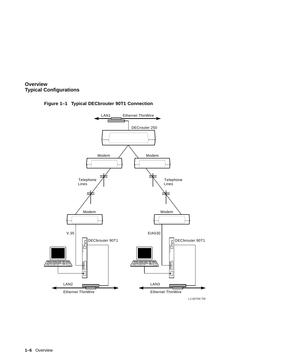

#### **Figure 1–1 Typical DECbrouter 90T1 Connection**

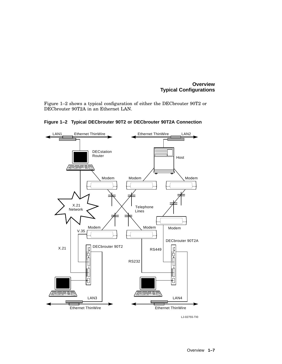#### **Overview Typical Configurations**

Figure 1–2 shows a typical configuration of either the DECbrouter 90T2 or DECbrouter 90T2A in an Ethernet LAN.



**Figure 1–2 Typical DECbrouter 90T2 or DECbrouter 90T2A Connection**

LJ-02755-TI0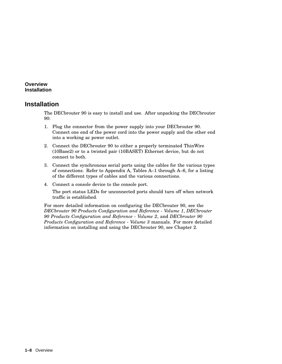#### **Overview Installation**

# **Installation**

The DECbrouter 90 is easy to install and use. After unpacking the DECbrouter 90:

- 1. Plug the connector from the power supply into your DECbrouter 90. Connect one end of the power cord into the power supply and the other end into a working ac power outlet.
- 2. Connect the DECbrouter 90 to either a properly terminated ThinWire (10Base2) or to a twisted pair (10BASET) Ethernet device, but do not connect to both.
- 3. Connect the synchronous serial ports using the cables for the various types of connections. Refer to Appendix A, Tables A–1 through A–6, for a listing of the different types of cables and the various connections.
- 4. Connect a console device to the console port.

The port status LEDs for unconnected ports should turn off when network traffic is established.

For more detailed information on configuring the DECbrouter 90, see the *DECbrouter 90 Products Configuration and Reference - Volume 1*, *DECbrouter 90 Products Configuration and Reference - Volume 2*, and *DECbrouter 90 Products Configuration and Reference - Volume 3* manuals. For more detailed information on installing and using the DECbrouter 90, see Chapter 2.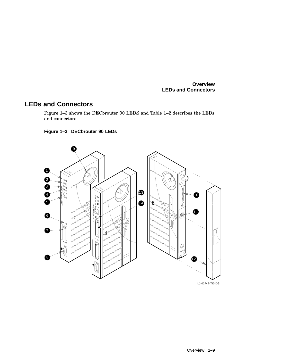# **LEDs and Connectors**

Figure 1–3 shows the DECbrouter 90 LEDS and Table 1–2 describes the LEDs and connectors.



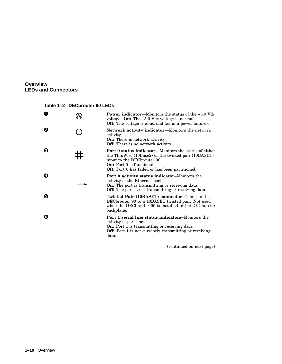**Table 1–2 DECbrouter 90 LEDs**

| 0 | <b>Power indicator—Monitors the status of the <math>+5.0</math> Vdc</b><br>voltage. On: The $+5.0$ Vdc voltage is normal.<br><b>Off:</b> The voltage is abnormal (as in a power failure).                                                   |
|---|---------------------------------------------------------------------------------------------------------------------------------------------------------------------------------------------------------------------------------------------|
| ❷ | <b>Network activity indicator—Monitors the network</b><br>activity.<br><b>On:</b> There is network activity.<br><b>Off:</b> There is no network activity.                                                                                   |
| ❸ | <b>Port 0 status indicator—Monitors the status of either</b><br>the ThinWire (10Base2) or the twisted pair (10BASET)<br>input to the DEC brouter 90.<br><b>On:</b> Port 0 is functional.<br>Off: Port 0 has failed or has been partitioned. |
| ❹ | <b>Port 0 activity status indicator–Monitors the</b><br>activity of the Ethernet port.<br><b>On:</b> The port is transmitting or receiving data.<br><b>Off:</b> The port is not transmitting or receiving data.                             |
| Θ | Twisted Pair (10BASET) connector–Connects the<br>DEC brouter 90 to a 10BASET twisted pair. Not used<br>when the DEC brouter 90 is installed in the DEC hub 90<br>backplane.                                                                 |
| ❻ | <b>Port 1 serial line status indicators–Monitors the</b><br>activity of port one.<br><b>On:</b> Port 1 is transmitting or receiving data.<br><b>Off:</b> Port 1 is not currently transmitting or receiving<br>data.                         |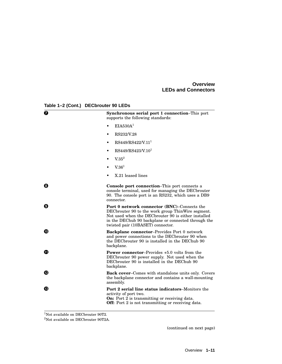**Table 1–2 (Cont.) DECbrouter 90 LEDs**

| ❼ | Synchronous serial port 1 connection-This port<br>supports the following standards:                                                                                                                                                                  |
|---|------------------------------------------------------------------------------------------------------------------------------------------------------------------------------------------------------------------------------------------------------|
|   | EIA530A <sup>1</sup>                                                                                                                                                                                                                                 |
|   | RS232/V.28<br>٠                                                                                                                                                                                                                                      |
|   | RS449/RS422/V.11 <sup>1</sup>                                                                                                                                                                                                                        |
|   | RS449/RS423/V.10 <sup>1</sup><br>$\bullet$                                                                                                                                                                                                           |
|   | V.35 <sup>2</sup><br>$\bullet$                                                                                                                                                                                                                       |
|   | V.36 <sup>1</sup>                                                                                                                                                                                                                                    |
|   | X.21 leased lines                                                                                                                                                                                                                                    |
| ❸ | <b>Console port connection–This port connects a</b><br>console terminal, used for managing the DECbrouter<br>90. The console port is an RS232, which uses a DB9<br>connector.                                                                        |
| Θ | Port 0 network connector (BNC)-Connects the<br>DECbrouter 90 to the work group ThinWire segment.<br>Not used when the DEC brouter 90 is either installed<br>in the DEChub 90 backplane or connected through the<br>twisted pair (10BASET) connector. |
| ⊕ | <b>Backplane connector-Provides Port 0 network</b><br>and power connections to the DEC brouter 90 when<br>the DEC brouter 90 is installed in the DEC hub 90<br>backplane.                                                                            |
| ➊ | <b>Power connector–Provides <math>+5.0</math> volts from the</b><br>DECbrouter 90 power supply. Not used when the<br>DECbrouter 90 is installed in the DEChub 90<br>backplane.                                                                       |
| ® | <b>Back cover–Comes with standalone units only. Covers</b><br>the backplane connector and contains a wall-mounting<br>assembly.                                                                                                                      |
| ® | <b>Port 2 serial line status indicators–Monitors the</b><br>activity of port two.<br><b>On:</b> Port 2 is transmitting or receiving data.<br><b>Off:</b> Port 2 is not transmitting or receiving data.                                               |

<sup>1</sup>Not available on DECbrouter 90T2.

 $^2\rm Not$  available on DEC<br>brouter 90T2A.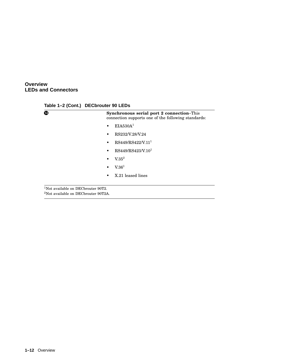**Table 1–2 (Cont.) DECbrouter 90 LEDs**

| <b>Synchronous serial port 2 connection–This</b><br>connection supports one of the following standards: |
|---------------------------------------------------------------------------------------------------------|
| EIA530A <sup>1</sup>                                                                                    |
| RS232/V.28/V.24                                                                                         |
| RS449/RS422/V.11 <sup>1</sup>                                                                           |
| RS449/RS423/V.10 <sup>1</sup>                                                                           |
| V.35 <sup>2</sup>                                                                                       |
| V.36 <sup>1</sup>                                                                                       |
| X.21 leased lines                                                                                       |
|                                                                                                         |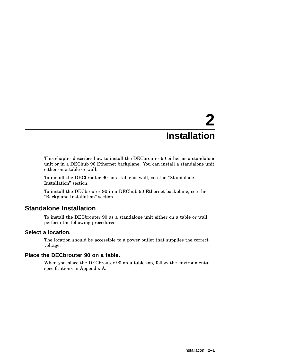# **2 Installation**

This chapter describes how to install the DECbrouter 90 either as a standalone unit or in a DEChub 90 Ethernet backplane. You can install a standalone unit either on a table or wall.

To install the DECbrouter 90 on a table or wall, see the ''Standalone Installation'' section.

To install the DECbrouter 90 in a DEChub 90 Ethernet backplane, see the ''Backplane Installation'' section.

# **Standalone Installation**

To install the DECbrouter 90 as a standalone unit either on a table or wall, perform the following procedures:

#### **Select a location.**

The location should be accessible to a power outlet that supplies the correct voltage.

#### **Place the DECbrouter 90 on a table.**

When you place the DECbrouter 90 on a table top, follow the environmental specifications in Appendix A.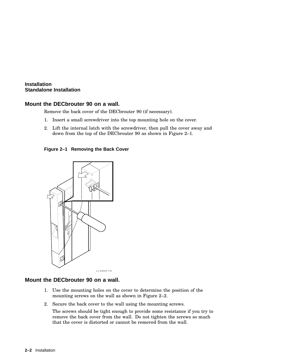#### **Mount the DECbrouter 90 on a wall.**

Remove the back cover of the DECbrouter 90 (if necessary).

- 1. Insert a small screwdriver into the top mounting hole on the cover.
- 2. Lift the internal latch with the screwdriver, then pull the cover away and down from the top of the DECbrouter 90 as shown in Figure 2–1.

**Figure 2–1 Removing the Back Cover**



#### **Mount the DECbrouter 90 on a wall.**

- 1. Use the mounting holes on the cover to determine the position of the mounting screws on the wall as shown in Figure 2–2.
- 2. Secure the back cover to the wall using the mounting screws.

The screws should be tight enough to provide some resistance if you try to remove the back cover from the wall. Do not tighten the screws so much that the cover is distorted or cannot be removed from the wall.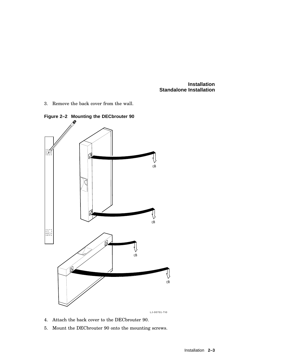3. Remove the back cover from the wall.



**Figure 2–2 Mounting the DECbrouter 90**

LJ-00701-TI0

- 4. Attach the back cover to the DECbrouter 90.
- 5. Mount the DECbrouter 90 onto the mounting screws.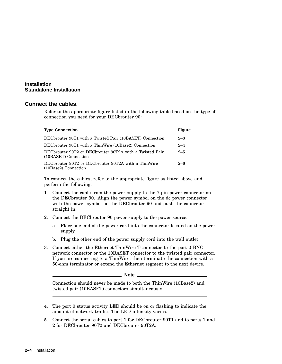#### **Connect the cables.**

Refer to the appropriate figure listed in the following table based on the type of connection you need for your DECbrouter 90:

| <b>Type Connection</b>                                                          | <b>Figure</b> |
|---------------------------------------------------------------------------------|---------------|
| DEC brouter 90T1 with a Twisted Pair (10BASET) Connection                       | $2 - 3$       |
| DEC brouter 90T1 with a Thin Wire (10Base2) Connection                          | $2 - 4$       |
| DECbrouter 90T2 or DECbrouter 90T2A with a Twisted Pair<br>(10BASET) Connection | $2 - 5$       |
| DECbrouter 90T2 or DECbrouter 90T2A with a ThinWire<br>(10Base2) Connection     | $2 - 6$       |

To connect the cables, refer to the appropriate figure as listed above and perform the following:

- 1. Connect the cable from the power supply to the 7-pin power connector on the DECbrouter 90. Align the power symbol on the dc power connector with the power symbol on the DECbrouter 90 and push the connector straight in.
- 2. Connect the DECbrouter 90 power supply to the power source.
	- a. Place one end of the power cord into the connector located on the power supply.
	- b. Plug the other end of the power supply cord into the wall outlet.
- 3. Connect either the Ethernet ThinWire T-connector to the port 0 BNC network connector or the 10BASET connector to the twisted pair connector. If you are connecting to a ThinWire, then terminate the connection with a 50-ohm terminator or extend the Ethernet segment to the next device.

#### **Note**

Connection should never be made to both the ThinWire (10Base2) and twisted pair (10BASET) connectors simultaneously.

- 4. The port 0 status activity LED should be on or flashing to indicate the amount of network traffic. The LED intensity varies.
- 5. Connect the serial cables to port 1 for DECbrouter 90T1 and to ports 1 and 2 for DECbrouter 90T2 and DECbrouter 90T2A.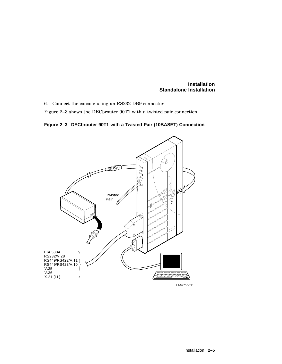6. Connect the console using an RS232 DB9 connector.

Figure 2–3 shows the DECbrouter 90T1 with a twisted pair connection.

**Figure 2–3 DECbrouter 90T1 with a Twisted Pair (10BASET) Connection**



LJ-02750-TI0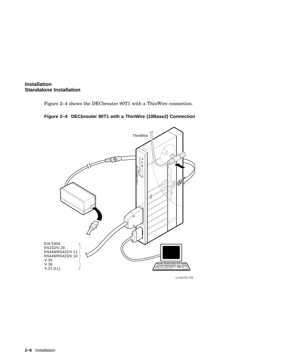

Figure 2–4 shows the DECbrouter 90T1 with a ThinWire connection.





LJ-02751-TI0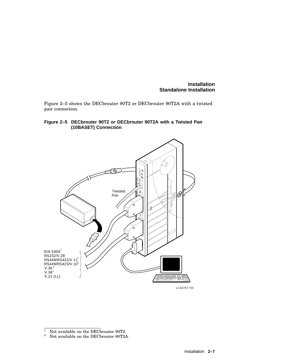Figure 2–5 shows the DECbrouter 90T2 or DECbrouter 90T2A with a twisted pair connection.

#### **Figure 2–5 DECbrouter 90T2 or DECbrouter 90T2A with a Twisted Pair (10BASET) Connection**



<sup>&</sup>lt;sup>1</sup> Not available on the DEC<br>brouter 90T2.<br><sup>2</sup> Not available on the DEC<br>brouter 90T2A

<sup>2</sup> Not available on the DECbrouter 90T2A.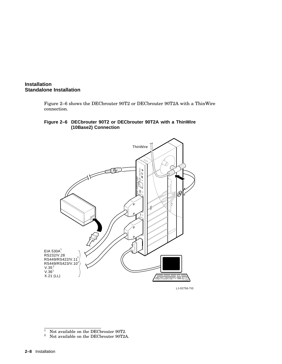

Figure 2–6 shows the DECbrouter 90T2 or DECbrouter 90T2A with a ThinWire connection.

#### **Figure 2–6 DECbrouter 90T2 or DECbrouter 90T2A with a ThinWire (10Base2) Connection**



LJ-02756-TI0

 $\frac{1}{2}$  Not available on the DEC<br>brouter 90T2.

<sup>2</sup> Not available on the DECbrouter 90T2A.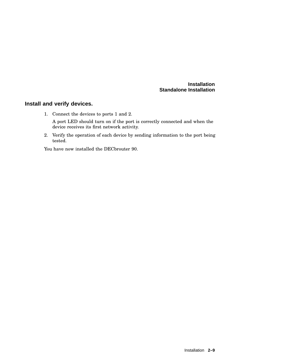#### **Install and verify devices.**

- 1. Connect the devices to ports 1 and 2. A port LED should turn on if the port is correctly connected and when the device receives its first network activity.
- 2. Verify the operation of each device by sending information to the port being tested.

You have now installed the DECbrouter 90.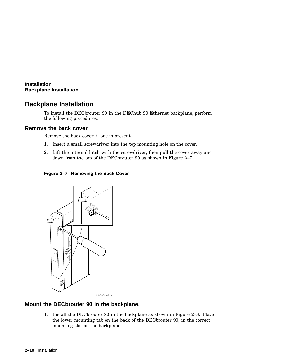**Installation Backplane Installation**

# **Backplane Installation**

To install the DECbrouter 90 in the DEChub 90 Ethernet backplane, perform the following procedures:

#### **Remove the back cover.**

Remove the back cover, if one is present.

- 1. Insert a small screwdriver into the top mounting hole on the cover.
- 2. Lift the internal latch with the screwdriver, then pull the cover away and down from the top of the DECbrouter 90 as shown in Figure 2–7.

**Figure 2–7 Removing the Back Cover**



#### **Mount the DECbrouter 90 in the backplane.**

1. Install the DECbrouter 90 in the backplane as shown in Figure 2–8. Place the lower mounting tab on the back of the DECbrouter 90, in the correct mounting slot on the backplane.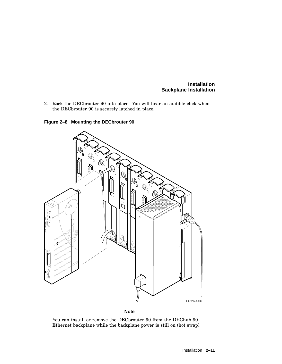#### **Installation Backplane Installation**

2. Rock the DECbrouter 90 into place. You will hear an audible click when the DECbrouter 90 is securely latched in place.





You can install or remove the DECbrouter 90 from the DEChub 90 Ethernet backplane while the backplane power is still on (hot swap).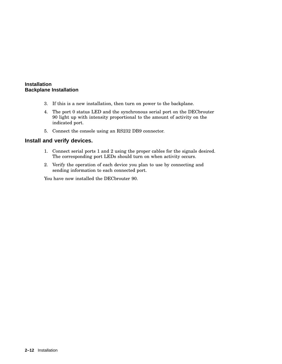#### **Installation Backplane Installation**

- 3. If this is a new installation, then turn on power to the backplane.
- 4. The port 0 status LED and the synchronous serial port on the DECbrouter 90 light up with intensity proportional to the amount of activity on the indicated port.
- 5. Connect the console using an RS232 DB9 connector.

#### **Install and verify devices.**

- 1. Connect serial ports 1 and 2 using the proper cables for the signals desired. The corresponding port LEDs should turn on when activity occurs.
- 2. Verify the operation of each device you plan to use by connecting and sending information to each connected port.

You have now installed the DECbrouter 90.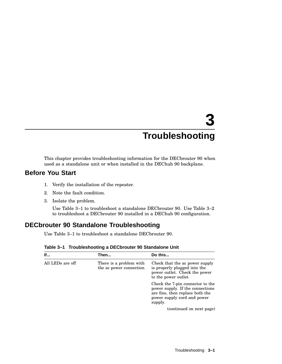# **3 Troubleshooting**

This chapter provides troubleshooting information for the DECbrouter 90 when used as a standalone unit or when installed in the DEChub 90 backplane.

# **Before You Start**

- 1. Verify the installation of the repeater.
- 2. Note the fault condition.
- 3. Isolate the problem.

Use Table 3–1 to troubleshoot a standalone DECbrouter 90. Use Table 3–2 to troubleshoot a DECbrouter 90 installed in a DEChub 90 configuration.

# **DECbrouter 90 Standalone Troubleshooting**

Use Table 3–1 to troubleshoot a standalone DECbrouter 90.

| lf                                                                      | Then                                                                                                                    | Do this                                                                                                                                           |
|-------------------------------------------------------------------------|-------------------------------------------------------------------------------------------------------------------------|---------------------------------------------------------------------------------------------------------------------------------------------------|
| All LEDs are off<br>There is a problem with<br>the ac power connection. | Check that the ac power supply<br>is properly plugged into the<br>power outlet. Check the power<br>to the power outlet. |                                                                                                                                                   |
|                                                                         |                                                                                                                         | Check the 7-pin connector to the<br>power supply. If the connections<br>are fine, then replace both the<br>power supply cord and power<br>supply. |
|                                                                         |                                                                                                                         | (continued on next page)                                                                                                                          |

**Table 3–1 Troubleshooting a DECbrouter 90 Standalone Unit**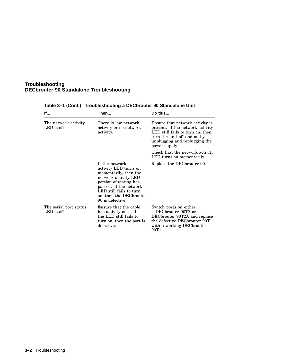#### **Troubleshooting DECbrouter 90 Standalone Troubleshooting**

| lf                                     | Then                                                                                                                                                                                                                   | Do this                                                                                                                                                                                  |
|----------------------------------------|------------------------------------------------------------------------------------------------------------------------------------------------------------------------------------------------------------------------|------------------------------------------------------------------------------------------------------------------------------------------------------------------------------------------|
| The network activity<br>LED is off     | There is low network<br>activity or no network<br>activity.                                                                                                                                                            | Ensure that network activity is<br>present. If the network activity<br>LED still fails to turn on, then<br>turn the unit off and on by<br>unplugging and replugging the<br>power supply. |
|                                        |                                                                                                                                                                                                                        | Check that the network activity<br>LED turns on momentarily.                                                                                                                             |
|                                        | If the network<br>activity LED turns on<br>momentarily, then the<br>network activity LED<br>portion of testing has<br>passed. If the network<br>LED still fails to turn<br>on, then the DECbrouter<br>90 is defective. | Replace the DEC brouter 90.                                                                                                                                                              |
| The serial port status<br>$LED$ is off | Ensure that the cable<br>has activity on it. If<br>the LED still fails to<br>turn on, then the port is<br>defective.                                                                                                   | Switch ports on either<br>a DECbrouter 90T2 or<br>DECbrouter 90T2A and replace<br>the defective DECbrouter 90T1<br>with a working DECbrouter<br>90T <sub>1</sub>                         |

**Table 3–1 (Cont.) Troubleshooting a DECbrouter 90 Standalone Unit**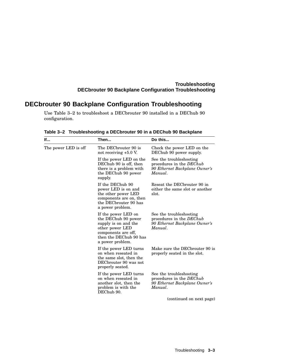#### **Troubleshooting DECbrouter 90 Backplane Configuration Troubleshooting**

# **DECbrouter 90 Backplane Configuration Troubleshooting**

Use Table 3–2 to troubleshoot a DECbrouter 90 installed in a DEChub 90 configuration.

| lf                   | Then                                                                                                                                                       | Do this                                                                                         |
|----------------------|------------------------------------------------------------------------------------------------------------------------------------------------------------|-------------------------------------------------------------------------------------------------|
| The power LED is off | The DECbrouter 90 is<br>not receiving +5.0 V.                                                                                                              | Check the power LED on the<br>DEChub 90 power supply.                                           |
|                      | If the power LED on the<br>DEChub 90 is off, then<br>there is a problem with<br>the DEChub 90 power<br>supply.                                             | See the troubleshooting<br>procedures in the DEChub<br>90 Ethernet Backplane Owner's<br>Manual. |
|                      | If the DEChub 90<br>power LED is on and<br>the other power LED<br>components are on, then<br>the DECbrouter 90 has<br>a power problem.                     | Reseat the DEC brouter 90 in<br>either the same slot or another<br>slot.                        |
|                      | If the power LED on<br>the DEChub 90 power<br>supply is on and the<br>other power LED<br>components are off,<br>then the DEChub 90 has<br>a power problem. | See the troubleshooting<br>procedures in the DEChub<br>90 Ethernet Backplane Owner's<br>Manual. |
|                      | If the power LED turns<br>on when reseated in<br>the same slot, then the<br>DECbrouter 90 was not<br>properly seated.                                      | Make sure the DEC brouter 90 is<br>properly seated in the slot.                                 |
|                      | If the power LED turns<br>on when reseated in<br>another slot, then the<br>problem is with the<br>DEChub 90.                                               | See the troubleshooting<br>procedures in the DEChub<br>90 Ethernet Backplane Owner's<br>Manual. |
|                      |                                                                                                                                                            | (continued on next page)                                                                        |

**Table 3–2 Troubleshooting a DECbrouter 90 in a DEChub 90 Backplane**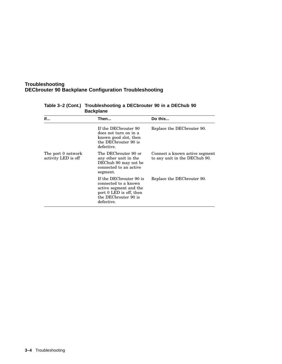#### **Troubleshooting DECbrouter 90 Backplane Configuration Troubleshooting**

| <b>If</b>                                 | Then                                                                                                                                       | Do this                                                         |
|-------------------------------------------|--------------------------------------------------------------------------------------------------------------------------------------------|-----------------------------------------------------------------|
|                                           | If the DECbrouter 90<br>does not turn on in a<br>known good slot, then<br>the DECbrouter 90 is<br>defective.                               | Replace the DEC brouter 90.                                     |
| The port 0 network<br>activity LED is off | The DECbrouter 90 or<br>any other unit in the<br>DEChub 90 may not be<br>connected to an active<br>segment.                                | Connect a known active segment<br>to any unit in the DEChub 90. |
|                                           | If the DECbrouter 90 is<br>connected to a known<br>active segment and the<br>port 0 LED is off, then<br>the DECbrouter 90 is<br>defective. | Replace the DEC brouter 90.                                     |

#### **Table 3–2 (Cont.) Troubleshooting a DECbrouter 90 in a DEChub 90 Backplane**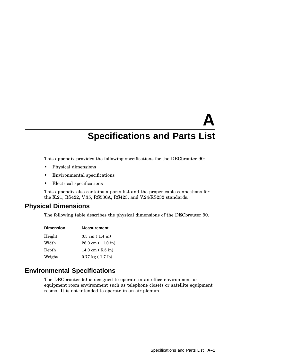# **A Specifications and Parts List**

This appendix provides the following specifications for the DECbrouter 90:

- Physical dimensions
- Environmental specifications
- Electrical specifications

This appendix also contains a parts list and the proper cable connections for the X.21, RS422, V.35, RS530A, RS423, and V.24/RS232 standards.

# **Physical Dimensions**

The following table describes the physical dimensions of the DECbrouter 90.

| <b>Dimension</b> | <b>Measurement</b>                 |
|------------------|------------------------------------|
| Height           | $3.5 \text{ cm} (1.4 \text{ in})$  |
| Width            | $28.0 \text{ cm}$ (11.0 in)        |
| Depth            | 14.0 cm $(5.5 \text{ in})$         |
| Weight           | $0.77 \text{ kg} (1.7 \text{ lb})$ |

# **Environmental Specifications**

The DECbrouter 90 is designed to operate in an office environment or equipment room environment such as telephone closets or satellite equipment rooms. It is not intended to operate in an air plenum.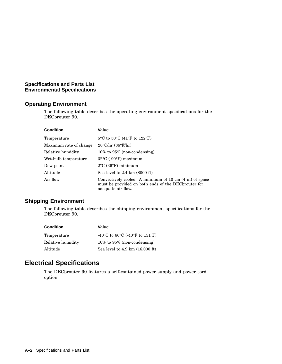#### **Specifications and Parts List Environmental Specifications**

#### **Operating Environment**

The following table describes the operating environment specifications for the DECbrouter 90.

| <b>Condition</b>       | Value                                                                                                                                 |
|------------------------|---------------------------------------------------------------------------------------------------------------------------------------|
| Temperature            | $5^{\circ}$ C to $50^{\circ}$ C (41°F to 122°F)                                                                                       |
| Maximum rate of change | $20^{\circ}$ C/hr (36 $^{\circ}$ F/hr)                                                                                                |
| Relative humidity      | $10\%$ to $95\%$ (non-condensing)                                                                                                     |
| Wet-bulb temperature   | $32^{\circ}$ C (90 $^{\circ}$ F) maximum                                                                                              |
| Dew point              | $2^{\circ}$ C (36 $^{\circ}$ F) minimum                                                                                               |
| Altitude               | Sea level to $2.4 \text{ km}$ (8000 ft)                                                                                               |
| Air flow               | Convectively cooled. A minimum of 10 cm (4 in) of space<br>must be provided on both ends of the DEC brouter for<br>adequate air flow. |

# **Shipping Environment**

The following table describes the shipping environment specifications for the DECbrouter 90.

| <b>Condition</b>  | Value                                               |  |
|-------------------|-----------------------------------------------------|--|
| Temperature       | -40 °C to 66 °C (-40 °F to 151 °F)                  |  |
| Relative humidity | $10\%$ to $95\%$ (non-condensing)                   |  |
| Altitude          | Sea level to $4.9 \text{ km}$ $(16,000 \text{ ft})$ |  |

# **Electrical Specifications**

The DECbrouter 90 features a self-contained power supply and power cord option.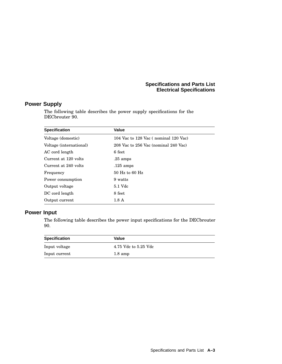#### **Specifications and Parts List Electrical Specifications**

# **Power Supply**

The following table describes the power supply specifications for the DECbrouter 90.

| <b>Specification</b>    | Value                                |
|-------------------------|--------------------------------------|
| Voltage (domestic)      | 104 Vac to 128 Vac (nominal 120 Vac) |
| Voltage (international) | 208 Vac to 256 Vac (nominal 240 Vac) |
| AC cord length          | 6 feet                               |
| Current at 120 volts    | $.25 \text{ amps}$                   |
| Current at 240 volts    | $.125 \text{ amps}$                  |
| Frequency               | $50$ Hz to 60 Hz                     |
| Power consumption       | 9 watts                              |
| Output voltage          | 5.1 Vdc                              |
| DC cord length          | 8 feet                               |
| Output current          | 1.8A                                 |

#### **Power Input**

The following table describes the power input specifications for the DECbrouter 90.

| <b>Specification</b> | Value                |
|----------------------|----------------------|
| Input voltage        | 4.75 Vdc to 5.25 Vdc |
| Input current        | $1.8 \text{ amp}$    |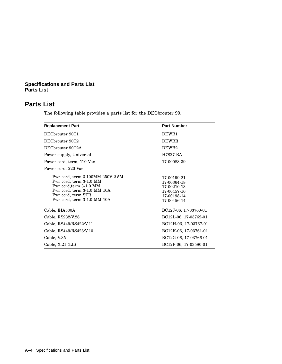# **Parts List**

The following table provides a parts list for the DECbrouter 90.

| <b>Replacement Part</b>                                                                                                                                                    | <b>Part Number</b>                                                                     |
|----------------------------------------------------------------------------------------------------------------------------------------------------------------------------|----------------------------------------------------------------------------------------|
| DECbrouter 90T1                                                                                                                                                            | DEWB1                                                                                  |
| DECbrouter 90T2                                                                                                                                                            | <b>DEWBR</b>                                                                           |
| DECbrouter 90T2A                                                                                                                                                           | DEWB <sub>2</sub>                                                                      |
| Power supply, Universal                                                                                                                                                    | H7827-BA                                                                               |
| Power cord, term, 110 Vac                                                                                                                                                  | 17-00083-39                                                                            |
| Power cord, 220 Vac                                                                                                                                                        |                                                                                        |
| Pwr cord, term 3.100MM 250V 2.5M<br>Pwr cord, term 3-1.0 MM<br>Pwr cord, term 3-1.0 MM<br>Pwr cord, term 3-1.0 MM 10A<br>Pwr cord, term STR<br>Pwr cord, term 3-1.0 MM 10A | 17-00199-21<br>17-00364-18<br>17-00210-13<br>17-00457-16<br>17-00198-14<br>17-00456-14 |
| Cable, EIA530A                                                                                                                                                             | BC12J-06, 17-03760-01                                                                  |
| Cable, RS232/V.28                                                                                                                                                          | BC12L-06, 17-03762-01                                                                  |
| Cable, RS449/RS422/V.11                                                                                                                                                    | BC12H-06, 17-03767-01                                                                  |
| Cable, RS449/RS423/V.10                                                                                                                                                    | BC12K-06, 17-03761-01                                                                  |
| Cable, V.35                                                                                                                                                                | BC12G-06, 17-03766-01                                                                  |
| Cable, $X.21$ (LL)                                                                                                                                                         | BC12F-06, 17-03580-01                                                                  |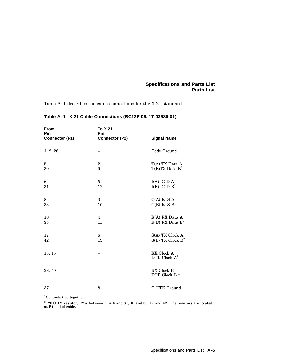Table A–1 describes the cable connections for the X.21 standard.

| From<br>Pin<br>Connector (P1) | To X.21<br>Pin<br>Connector (P2) | <b>Signal Name</b>                       |
|-------------------------------|----------------------------------|------------------------------------------|
| 1, 2, 26                      |                                  | Code Ground                              |
| $\overline{5}$<br>30          | $\overline{2}$<br>9              | T(A) TX Data A<br>$T(B)TX$ Data $B1$     |
| 6<br>31                       | $\bf 5$<br>12                    | I(A) DCD A<br>$I(B)$ DCD $B^2$           |
| $\,8\,$<br>33                 | 3<br>10                          | $C(A)$ RTS $A$<br>$C(B)$ RTS B           |
| 10<br>35                      | $\overline{4}$<br>11             | R(A) RX Data A<br>$R(B)$ RX Data $B^2$   |
| 17<br>42                      | 6<br>13                          | S(A) TX Clock A<br>$S(B)$ TX Clock $B^2$ |
| 13, 15                        |                                  | RX Clock A<br>DTE Clock $A1$             |
| 38, 40                        |                                  | RX Clock B<br>DTE Clock B $1$            |
| 37                            | 8                                | G DTE Ground                             |
| $1 \sim$                      |                                  |                                          |

#### **Table A–1 X.21 Cable Connections (BC12F-06, 17-03580-01)**

<sup>1</sup>Contacts tied together.

<sup>2</sup>120 OHM resistor, 1/2W between pins 6 and 31, 10 and 35, 17 and 42. The resistors are located at P1 end of cable.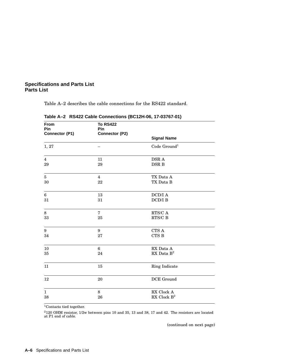Table A–2 describes the cable connections for the RS422 standard.

| From<br>Pin<br>Connector (P1) | <b>To RS422</b><br><b>Pin</b><br>Connector (P2) |                                                  |  |
|-------------------------------|-------------------------------------------------|--------------------------------------------------|--|
|                               |                                                 | <b>Signal Name</b>                               |  |
| 1, 27                         |                                                 | Code $Ground1$                                   |  |
| $\overline{4}$                | 11                                              | DSR A                                            |  |
| 29                            | 29                                              | DSR B                                            |  |
| $\bf 5$                       | $\overline{4}$                                  | TX Data A                                        |  |
| 30                            | 22                                              | TX Data B                                        |  |
| $\bf 6$                       | 13                                              | $\operatorname{DCD/I}$ A                         |  |
| 31                            | 31                                              | DCD/IB                                           |  |
| $\,8\,$                       | $\overline{7}$                                  | $\rm{RTS/C}$ A                                   |  |
| 33                            | 25                                              | $\rm{RTS/C}$ B                                   |  |
| 9                             | 9                                               | CTS A                                            |  |
| 34                            | 27                                              | $\rm CTS$ B                                      |  |
| $10\,$                        | $\,6\,$                                         | $\mathop{\rm RX}$ Data $\mathop{\rm A}\nolimits$ |  |
| 35                            | 24                                              | RX Data $\mathbf{B}^2$                           |  |
| 11                            | 15                                              | Ring Indicate                                    |  |
| 12                            | 20                                              | DCE Ground                                       |  |
| $\mathbf{1}$                  | 8                                               | RX Clock A                                       |  |
| 38                            | 26                                              | RX Clock $B^2$                                   |  |

**Table A–2 RS422 Cable Connections (BC12H-06, 17-03767-01)**

<sup>1</sup>Contacts tied together.

 $2120$  OHM resistor,  $1/2w$  between pins 10 and 35, 13 and 38, 17 and 42. The resistors are located at P1 end of cable.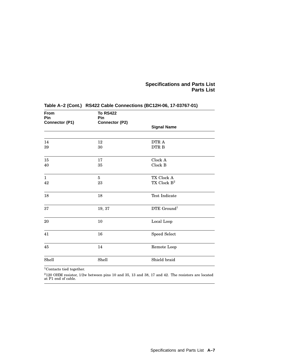| From<br>Pin<br>Connector (P1) | <b>To RS422</b><br>Pin<br>Connector (P2) |                                       |  |
|-------------------------------|------------------------------------------|---------------------------------------|--|
|                               |                                          | <b>Signal Name</b>                    |  |
|                               |                                          |                                       |  |
| 14<br>39                      | 12<br>30                                 | DTR A<br>DTR B                        |  |
| 15<br>40                      | 17<br>35                                 | Clock A<br>Clock B                    |  |
| $\mathbf{1}$<br>42            | $\overline{5}$<br>23                     | TX Clock A<br>TX Clock $\mathbf{B}^2$ |  |
| 18                            | 18                                       | <b>Test Indicate</b>                  |  |
| 37                            | 19, 37                                   | DTE Ground <sup>1</sup>               |  |
| 20                            | 10                                       | Local Loop                            |  |
| 41                            | 16                                       | Speed Select                          |  |
| 45                            | 14                                       | Remote Loop                           |  |
| Shell                         | Shell                                    | Shield braid                          |  |

### **Table A–2 (Cont.) RS422 Cable Connections (BC12H-06, 17-03767-01)**

 $1$ Contacts tied together.

 $^{2}$ 120 OHM resistor, 1/2w between pins 10 and 35, 13 and 38, 17 and 42. The resistors are located at P1 end of cable.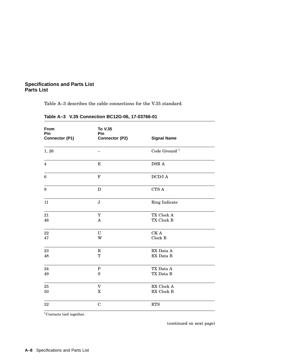Table A–3 describes the cable connections for the V.35 standard.

| From<br>Pin<br>Connector (P1) | To V.35<br>Pin<br>Connector (P2) | <b>Signal Name</b>          |  |
|-------------------------------|----------------------------------|-----------------------------|--|
| 1, 26                         |                                  | Code Ground $^{\mathrm{1}}$ |  |
| $\overline{4}$                | ${\bf E}$                        | DSR A                       |  |
| $\boldsymbol{6}$              | $\mathbf F$                      | $\operatorname{DCD/I}$ A    |  |
| 9                             | $\mathbf D$                      | CTS A                       |  |
| 11                            | $\bf J$                          | Ring Indicate               |  |
| 21                            | $\mathbf Y$                      | TX Clock A                  |  |
| 46                            | A                                | TX Clock B                  |  |
| 22                            | U                                | CK A                        |  |
| 47                            | W                                | Clock B                     |  |
| $\bf 23$                      | $\mathbf R$                      | RX Data A                   |  |
| 48                            | T                                | RX Data B                   |  |
| 24                            | $\mathbf P$                      | TX Data A                   |  |
| 49                            | S                                | TX Data B                   |  |
| 25                            | V                                | RX Clock A                  |  |
| 50                            | $\mathbf X$                      | RX Clock B                  |  |
| 32                            | $\mathbf C$                      | <b>RTS</b>                  |  |

**Table A–3 V.35 Connection BC12G-06, 17-03766-01**

 $^1\mathrm{Context}$  tied together.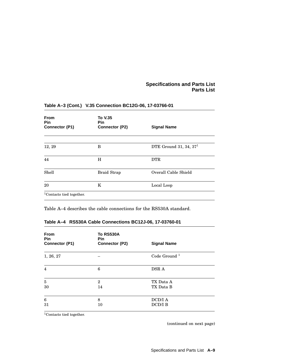| <b>From</b><br><b>Pin</b>            | <b>To V.35</b><br><b>Pin</b> |                          |
|--------------------------------------|------------------------------|--------------------------|
| Connector (P1)                       | Connector (P2)               | <b>Signal Name</b>       |
|                                      |                              |                          |
| 12, 29                               | В                            | DTE Ground 31, 34, $371$ |
| 44                                   | H                            | <b>DTR</b>               |
| Shell                                | <b>Braid Strap</b>           | Overall Cable Shield     |
| 20                                   | K                            | Local Loop               |
| <sup>1</sup> Contacts tied together. |                              |                          |

### **Table A–3 (Cont.) V.35 Connection BC12G-06, 17-03766-01**

Table A–4 describes the cable connections for the RS530A standard.

#### **Table A–4 RS530A Cable Connections BC12J-06, 17-03760-01**

| <b>From</b><br><b>Pin</b><br>Connector (P1) | <b>To RS530A</b><br><b>Pin</b><br>Connector (P2) | <b>Signal Name</b>        |
|---------------------------------------------|--------------------------------------------------|---------------------------|
| 1, 26, 27                                   |                                                  | Code Ground <sup>1</sup>  |
| $\overline{4}$                              | 6                                                | DSR A                     |
| $\bf 5$<br>30                               | $\mathbf{2}$<br>14                               | TX Data A<br>TX Data B    |
| $6\phantom{1}6$<br>31                       | 8<br>10                                          | DCD/I A<br><b>DCD/I B</b> |

<sup>1</sup>Contacts tied together.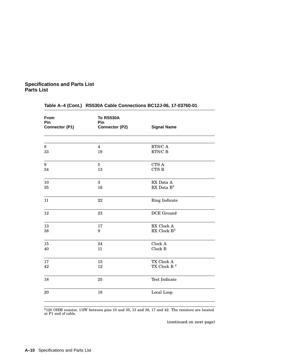| <b>From</b><br>Pin<br>Connector (P1) | <b>To RS530A</b><br>Pin<br>Connector (P2) | <b>Signal Name</b>                               |  |
|--------------------------------------|-------------------------------------------|--------------------------------------------------|--|
| $\,8\,$                              | $\overline{4}$                            | $\rm{RTS/C}$ A                                   |  |
| 33                                   | 19                                        | $\rm{RTS/C}$ B                                   |  |
| $\boldsymbol{9}$                     | $\bf 5$                                   | CTS A                                            |  |
| 34                                   | 13                                        | CTS B                                            |  |
| 10                                   | 3                                         | $\mathop{\rm RX}$ Data $\mathop{\rm A}\nolimits$ |  |
| 35                                   | 16                                        | RX Data $B^2$                                    |  |
| 11                                   | 22                                        | Ring Indicate                                    |  |
| 12                                   | 23                                        | DCE Ground                                       |  |
| 13                                   | 17                                        | RX Clock A                                       |  |
| 38                                   | $\boldsymbol{9}$                          | RX Clock $B^2$                                   |  |
| 15                                   | 24                                        | Clock A                                          |  |
| 40                                   | 11                                        | Clock B                                          |  |
| 17                                   | 15                                        | TX Clock A                                       |  |
| 42                                   | 12                                        | TX Clock B $^2$                                  |  |
| 18                                   | 25                                        | Test Indicate                                    |  |
| $20\,$                               | 18                                        | Local Loop                                       |  |

### **Table A–4 (Cont.) RS530A Cable Connections BC12J-06, 17-03760-01**

 $^{2}$ 120 OHM resistor, 1/2W between pins 10 and 35, 13 and 38, 17 and 42. The resistors are located at P1 end of cable.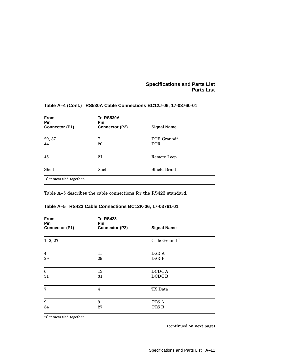| <b>From</b><br><b>Pin</b><br>Connector (P1) | <b>To RS530A</b><br>Pin<br>Connector (P2) | <b>Signal Name</b>               |  |
|---------------------------------------------|-------------------------------------------|----------------------------------|--|
| 29, 37<br>44                                | 7<br>20                                   | $DTE$ Ground <sup>1</sup><br>DTR |  |
| 45                                          | 21                                        | Remote Loop                      |  |
| Shell                                       | Shell                                     | Shield Braid                     |  |

#### **Table A–4 (Cont.) RS530A Cable Connections BC12J-06, 17-03760-01**

Table A–5 describes the cable connections for the RS423 standard.

| <b>From</b><br>Pin<br>Connector (P1) | <b>To RS423</b><br><b>Pin</b><br>Connector (P2) | <b>Signal Name</b>       |
|--------------------------------------|-------------------------------------------------|--------------------------|
| 1, 2, 27                             |                                                 | Code Ground <sup>1</sup> |
| $\overline{4}$                       | 11                                              | DSR A                    |
| 29                                   | 29                                              | DSR B                    |
| $\boldsymbol{6}$                     | 13                                              | $\operatorname{DCD/I}$ A |
| 31                                   | 31                                              | $DCD/I$ B                |
| 7                                    | 4                                               | TX Data                  |
| $\boldsymbol{9}$                     | 9                                               | CTS A                    |
| 34                                   | 27                                              | <b>CTS B</b>             |

#### **Table A–5 RS423 Cable Connections BC12K-06, 17-03761-01**

 $1$ Contacts tied together.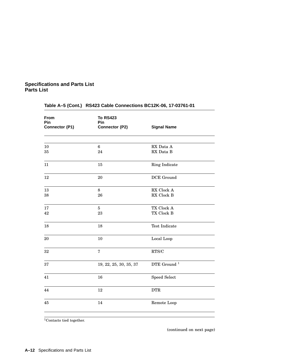| <b>From</b><br>Pin<br>Connector (P1) | <b>To RS423</b><br>Pin<br>Connector (P2) | <b>Signal Name</b>                    |
|--------------------------------------|------------------------------------------|---------------------------------------|
|                                      |                                          |                                       |
| $10\,$<br>35                         | $\bf 6$<br>24                            | RX Data A<br>RX Data B                |
| 11                                   | 15                                       | Ring Indicate                         |
| 12                                   | 20                                       | DCE Ground                            |
| 13<br>38                             | $\,8\,$<br>26                            | RX Clock A<br>RX Clock B              |
| 17<br>42                             | $\bf 5$<br>23                            | TX Clock A<br>TX Clock B              |
| 18                                   | 18                                       | Test Indicate                         |
| 20                                   | 10                                       | Local Loop                            |
| 32                                   | $\overline{7}$                           | $\operatorname{RTS}/\operatorname{C}$ |
| 37                                   | 19, 22, 25, 30, 35, 37                   | DTE Ground $^{\rm 1}$                 |
| 41                                   | 16                                       | Speed Select                          |
| 44                                   | 12                                       | <b>DTR</b>                            |
| 45                                   | 14                                       | Remote Loop                           |
|                                      |                                          |                                       |

### **Table A–5 (Cont.) RS423 Cable Connections BC12K-06, 17-03761-01**

<sup>1</sup>Contacts tied together.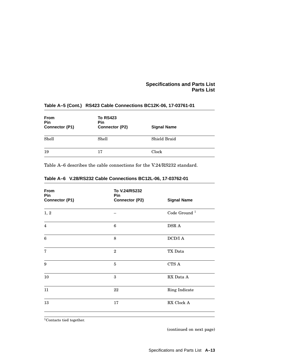| <b>From</b><br>Pin<br>Connector (P1) | <b>To RS423</b><br>Pin<br>Connector (P2) | <b>Signal Name</b> |  |
|--------------------------------------|------------------------------------------|--------------------|--|
| Shell                                | Shell                                    | Shield Braid       |  |
| 19                                   | 17                                       | Clock              |  |

#### **Table A–5 (Cont.) RS423 Cable Connections BC12K-06, 17-03761-01**

Table A–6 describes the cable connections for the V.24/RS232 standard.

| <b>From</b><br>Pin<br>Connector (P1) | To V.24/RS232<br>Pin<br>Connector (P2) | <b>Signal Name</b>       |
|--------------------------------------|----------------------------------------|--------------------------|
| 1, 2                                 |                                        | Code Ground <sup>1</sup> |
| $\overline{4}$                       | 6                                      | DSR A                    |
| 6                                    | 8                                      | $\operatorname{DCD/I}$ A |
| $\overline{7}$                       | $\overline{2}$                         | TX Data                  |
| 9                                    | $\overline{5}$                         | CTS A                    |
| 10                                   | 3                                      | RX Data A                |
| 11                                   | 22                                     | Ring Indicate            |
| 13                                   | 17                                     | RX Clock A               |

#### **Table A–6 V.28/RS232 Cable Connections BC12L-06, 17-03762-01**

<sup>1</sup>Contacts tied together.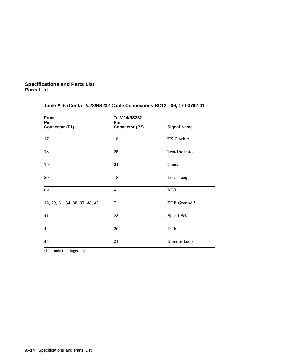| <b>From</b><br>Pin<br>Connector (P1) | To V.24/RS232<br>Pin<br>Connector (P2) | <b>Signal Name</b>      |
|--------------------------------------|----------------------------------------|-------------------------|
| 17                                   | 15                                     | TX Clock A              |
| 18                                   | 25                                     | Test Indicate           |
| 19                                   | 24                                     | Clock                   |
| 20                                   | 18                                     | Local Loop              |
| 32                                   | $\overline{4}$                         | <b>RTS</b>              |
| 12, 29, 31, 34, 35, 37, 38, 42       | 7                                      | DTE Ground <sup>1</sup> |
| 41                                   | 23                                     | Speed Select            |
| 44                                   | 20                                     | <b>DTR</b>              |
| 45                                   | 21                                     | Remote Loop             |
| $1$ Contacts tied together.          |                                        |                         |

### **Table A–6 (Cont.) V.28/RS232 Cable Connections BC12L-06, 17-03762-01**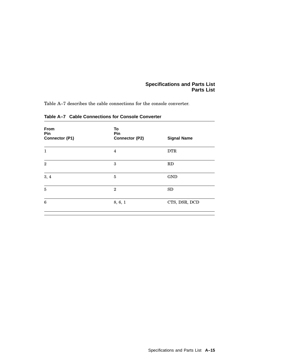Table A–7 describes the cable connections for the console converter.

| From<br>Pin<br>Connector (P1) | To<br>Pin<br>Connector (P2) | <b>Signal Name</b> |
|-------------------------------|-----------------------------|--------------------|
| 1                             | 4                           | <b>DTR</b>         |
| $\mathbf{2}$                  | 3                           | RD                 |
| 3, 4                          | 5                           | <b>GND</b>         |
| 5                             | $\overline{2}$              | <b>SD</b>          |
| 6                             | 8, 6, 1                     | CTS, DSR, DCD      |
|                               |                             |                    |

**Table A–7 Cable Connections for Console Converter**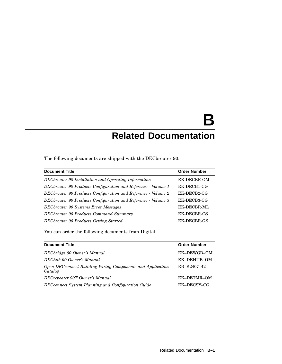# **B Related Documentation**

The following documents are shipped with the DECbrouter 90:

| <b>Document Title</b>                                         | <b>Order Number</b> |
|---------------------------------------------------------------|---------------------|
| DECbrouter 90 Installation and Operating Information          | EK-DECBR-OM         |
| DECbrouter 90 Products Configuration and Reference - Volume 1 | EK-DECB1-CG         |
| DECbrouter 90 Products Configuration and Reference - Volume 2 | EK-DECB2-CG         |
| DECbrouter 90 Products Configuration and Reference - Volume 3 | EK-DECB3-CG         |
| <b>DECbrouter 90 Systems Error Messages</b>                   | EK-DECBR-ML         |
| DECbrouter 90 Products Command Summary                        | EK-DECBR-CS         |
| DECbrouter 90 Products Getting Started                        | EK-DECBR-GS         |

You can order the following documents from Digital:

| <b>Document Title</b>                                                  | <b>Order Number</b> |  |  |
|------------------------------------------------------------------------|---------------------|--|--|
| DECbridge 90 Owner's Manual                                            | EK-DEWGB-OM         |  |  |
| DEChub 90 Owner's Manual                                               | EK-DEHUB-OM         |  |  |
| Open DEC connect Building Wiring Components and Application<br>Catalog | EB-K2407-42         |  |  |
| DECrepeater 90T Owner's Manual                                         | EK-DETMR-OM         |  |  |
| DEC connect System Planning and Configuration Guide                    | EK-DECSY-CG         |  |  |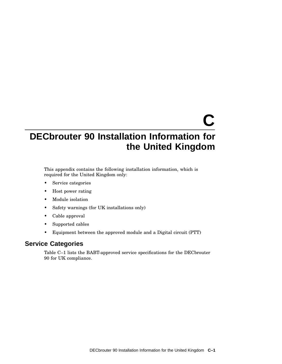# **C**

# **DECbrouter 90 Installation Information for the United Kingdom**

This appendix contains the following installation information, which is required for the United Kingdom only:

- Service categories
- Host power rating
- Module isolation
- Safety warnings (for UK installations only)
- Cable approval
- Supported cables
- Equipment between the approved module and a Digital circuit (PTT)

### **Service Categories**

Table C–1 lists the BABT-approved service specifications for the DECbrouter 90 for UK compliance.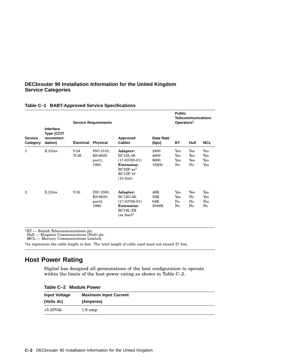#### **DECbrouter 90 Installation Information for the United Kingdom Service Categories**

|                            |                                                        | <b>Service Requirements</b> |                                          |                                                                                                                              |                               | <b>Public</b><br><b>Telecommunications</b><br>Operators <sup>1</sup> |                         |                          |
|----------------------------|--------------------------------------------------------|-----------------------------|------------------------------------------|------------------------------------------------------------------------------------------------------------------------------|-------------------------------|----------------------------------------------------------------------|-------------------------|--------------------------|
| <b>Service</b><br>Category | Interface<br><b>Type (CCIT</b><br>recommen-<br>dation) | <b>Electrical</b>           | <b>Physical</b>                          | Approved<br><b>Cables</b>                                                                                                    | Data Rate<br>(bps)            | BT                                                                   | Hull                    | <b>MCL</b>               |
| 1                          | $X.21$ bis                                             | V.24<br>N.28                | ISO 2110,<br>BS.6623:<br>part1,<br>1985. | Adapter:<br>$BC12L-06$<br>$(17-03762-01)$<br><b>Extension:</b><br>$BC22F$ - $xx^2$<br><b>BC13P-10</b><br>$(10 \text{ feet})$ | 2400<br>4800<br>9600<br>19200 | Yes<br>Yes<br>Yes<br>No                                              | Yes<br>Yes<br>Yes<br>No | Yes<br>Yes<br>Yes<br>Yes |
| $\mathbf{2}$               | $X.21$ bis                                             | V.35                        | ISO 2593,<br>BS.6623:<br>part4,<br>1986. | Adapter:<br>BC12G-06,<br>$(17-03766-01)$<br><b>Extension:</b><br>BC <sub>19L-XX</sub><br>(xx feet) <sup>2</sup>              | 48K<br>56K<br>64K<br>2048K    | Yes<br>Yes<br>No<br>No                                               | Yes<br>No<br>No<br>No   | Yes<br>Yes<br>Yes<br>No  |

#### **Table C–1 BABT-Approved Service Specifications**

 ${}^{1}BT$  — British Telecommunications plc.<br>
Hull — Kingston Communications (Hull) plc.<br>
MCL — Mercury Communications Limited.

 $2xx$  represents the cable length in feet. The total length of cable used must not exceed 27 feet.

# **Host Power Rating**

Digital has designed all permutations of the host configuration to operate within the limits of the host power rating as shown in Table C–2.

|  |  | Table C-2 Module Power |  |
|--|--|------------------------|--|
|--|--|------------------------|--|

| <b>Input Voltage</b> | <b>Maximum Input Current</b> |
|----------------------|------------------------------|
| (Volts dc)           | (Amperes)                    |
| $+5.25$ Vdc          | $1.8 \text{ amp}$            |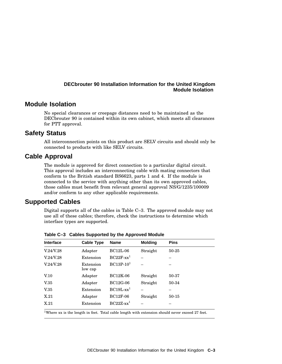#### **DECbrouter 90 Installation Information for the United Kingdom Module Isolation**

### **Module Isolation**

No special clearances or creepage distances need to be maintained as the DECbrouter 90 is contained within its own cabinet, which meets all clearances for PTT approval.

#### **Safety Status**

All interconnection points on this product are SELV circuits and should only be connected to products with like SELV circuits.

#### **Cable Approval**

The module is approved for direct connection to a particular digital circuit. This approval includes an interconnecting cable with mating connectors that conform to the British standard BS6623, parts 1 and 4. If the module is connected to the service with anything other than its own approved cables, those cables must benefit from relevant general approval NS/G/1235/100009 and/or conform to any other applicable requirements.

#### **Supported Cables**

Digital supports all of the cables in Table C–3. The approved module may not use all of these cables; therefore, check the instructions to determine which interface types are supported.

| <b>Cable Type</b>    | <b>Name</b>              | <b>Molding</b> | <b>Pins</b> |
|----------------------|--------------------------|----------------|-------------|
| Adapter              | $BC12L-06$               | Straight       | 50-25       |
| Extension            | $BC22F$ -xx <sup>1</sup> |                |             |
| Extension<br>low cap | $BC13P-101$              |                |             |
| Adapter              | <b>BC12K-06</b>          | Straight       | 50-37       |
| Adapter              | <b>BC12G-06</b>          | Straight       | 50-34       |
| Extension            | $BC19L-xx1$              |                |             |
| Adapter              | <b>BC12F-06</b>          | Straight       | 50-15       |
| Extension            | $RC22Z$ - $xx^1$         |                |             |
|                      |                          |                |             |

**Table C–3 Cables Supported by the Approved Module**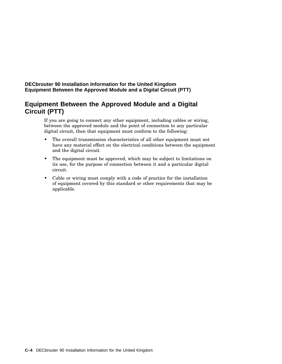**DECbrouter 90 Installation Information for the United Kingdom Equipment Between the Approved Module and a Digital Circuit (PTT)**

# **Equipment Between the Approved Module and a Digital Circuit (PTT)**

If you are going to connect any other equipment, including cables or wiring, between the approved module and the point of connection to any particular digital circuit, then that equipment must conform to the following:

- The overall transmission characteristics of all other equipment must not have any material effect on the electrical conditions between the equipment and the digital circuit.
- The equipment must be approved, which may be subject to limitations on its use, for the purpose of connection between it and a particular digital circuit.
- Cable or wiring must comply with a code of practice for the installation of equipment covered by this standard or other requirements that may be applicable.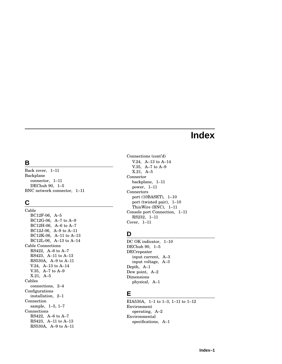# **Index**

# **B**

Back cover, 1–11 Backplane connector, 1–11 DEChub 90, 1–5 BNC network connector, 1–11

# **C**

Cable BC12F-06, A–5 BC12G-06, A–7 to A–9 BC12H-06, A–6 to A–7 BC12J-06, A–9 to A–11 BC12K-06, A–11 to A–13 BC12L-06, A–13 to A–14 Cable Connections RS422, A–6 to A–7 RS423, A–11 to A–13 RS530A, A–9 to A–11 V.24, A–13 to A–14 V.35, A–7 to A–9 X.21, A–5 Cables connections, 2–4 Configurations installation, 2–1 Connection sample, 1–5, 1–7 Connections RS422, A–6 to A–7 RS423, A–11 to A–13 RS530A, A–9 to A–11

Connections (cont'd) V.24, A–13 to A–14 V.35, A–7 to A–9 X.21, A–5 Connector backplane, 1–11 power, 1–11 Connectors port (10BASET), 1–10 port (twisted pair), 1–10 ThinWire (BNC), 1–11 Console port Connection, 1–11 RS232, 1–11 Cover, 1–11

# **D**

DC OK indicator, 1–10 DEChub 90, 1–5 DECrepeater input current, A–3 input voltage, A–3 Depth, A–1 Dew point, A–2 Dimensions physical, A–1

# **E**

EIA530A, 1–1 to 1–3, 1–11 to 1–12 Environment operating, A–2 Environmental specifications, A–1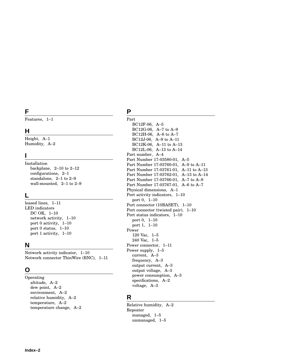# **F**

Features, 1–1

### **H**

Height, A–1 Humidity, A–2

# **I**

Installation backplane, 2–10 to 2–12 configurations, 2–1 standalone, 2–1 to 2–9 wall-mounted, 2–1 to 2–9

# **L**

leased lines, 1–11 LED indicators DC OK, 1–10 network activity, 1–10 port 0 activity, 1–10 port 0 status, 1–10 port 1 activity, 1–10

#### **N**

Network activity indicator, 1–10 Network connector ThinWire (BNC), 1–11

# **O**

Operating altitude, A–2 dew point, A–2 environment, A–2 relative humidity, A–2 temperature, A–2 temperature change, A–2

# **P**

Part BC12F-06, A–5 BC12G-06, A–7 to A–9 BC12H-06, A–6 to A–7 BC12J-06, A–9 to A–11 BC12K-06, A–11 to A–13 BC12L-06, A–13 to A–14 Part number, A–4 Part Number 17-03580-01, A–5 Part Number 17-03760-01, A–9 to A–11 Part Number 17-03761-01, A–11 to A–13 Part Number 17-03762-01, A–13 to A–14 Part Number 17-03766-01, A–7 to A–9 Part Number 17-03767-01, A–6 to A–7 Physical dimensions, A–1 Port activity indicators, 1–10 port 0, 1–10 Port connector (10BASET), 1–10 Port connector (twisted pair), 1–10 Port status indicators, 1–10 port 0, 1–10 port 1, 1–10 Power 120 Vac, 1–5 240 Vac, 1–5 Power connector, 1–11 Power supply, 1–5 current, A–3 frequency, A–3 output current, A–3 output voltage, A–3 power consumption, A–3 specifications, A–2 voltage, A–3

# **R**

Relative humidity, A–2 Repeater managed, 1–5 unmanaged, 1–5